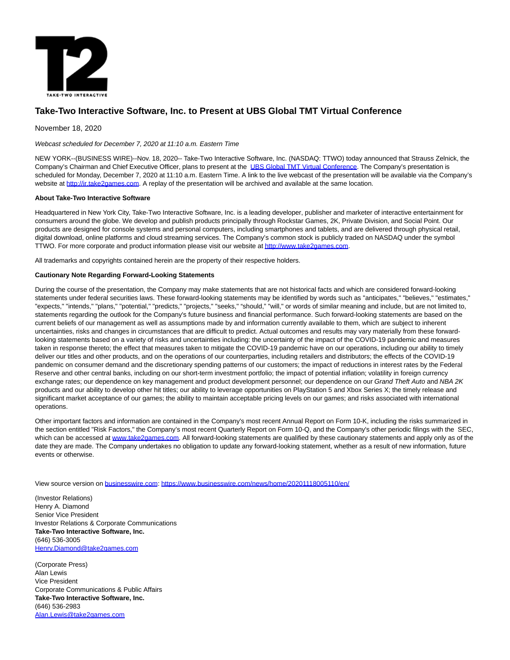

## **Take-Two Interactive Software, Inc. to Present at UBS Global TMT Virtual Conference**

November 18, 2020

Webcast scheduled for December 7, 2020 at 11:10 a.m. Eastern Time

NEW YORK--(BUSINESS WIRE)--Nov. 18, 2020-- Take-Two Interactive Software, Inc. (NASDAQ: TTWO) today announced that Strauss Zelnick, the Company's Chairman and Chief Executive Officer, plans to present at the [UBS Global TMT Virtual Conference.](https://cts.businesswire.com/ct/CT?id=smartlink&url=https%3A%2F%2Furldefense.proofpoint.com%2Fv2%2Furl%3Fu%3Dhttps-3A__protect2.fireeye.com_v1_url-3Fk-3Daeff8e2b-2Df164b6fc-2Daeffa755-2D000babff407e-2Deb2dbcc3e12f3a22-26q-3D1-26e-3D25303dc5-2Ddc4f-2D4824-2D9be1-2D157984f04879-26u-3Dhttps-253A-252F-252Fubsiconf.dealogic.com-252FiConference2-252Flogon.asp-253FKJKNAKABMFNIMAJONHCPEPMFDELGPNMFLPBOPHDJJJKBAEIPLDKJKCOAAEGIAAODNMMIBGOJIPJHFPMOHLHHAKCOMHHEFHCCBLMPJBGOCKCGDALFLMLACENDLFBDBPDCDOHPCHDHOOLIGACACAOAOAKAKAGAGACACAOAOAKAKAGAGACACAOAOAKAKAGAGACAFAIIFONBPIEAMACAAAGAEAKAIAOAMACAAAGAEAKAIAOAMACAAAGAEAKAIAOAMACA%26d%3DDwMGaQ%26c%3DRKDswobrOGdp5vDCbl5XjxW8HqrsRSr80dGTvu3rE9Q%26r%3DtkxuZbo8sgQEFArDbVbc6CcLt6iAn5p1erZ-MpRcGxU%26m%3D9nCEgLuMsiO5rgoMX-2--jNvjkidhULr3Se4myST50c%26s%3DYcRjHyAdqb_iA1hXHq0mxwgLPvSwr-N0GOqFnwgGC5I%26e%3D&esheet=52329919&newsitemid=20201118005110&lan=en-US&anchor=UBS+Global+TMT+Virtual+Conference&index=1&md5=c46c6d34175b4717bf328fbee897e129) The Company's presentation is scheduled for Monday, December 7, 2020 at 11:10 a.m. Eastern Time. A link to the live webcast of the presentation will be available via the Company's website at [http://ir.take2games.com.](https://cts.businesswire.com/ct/CT?id=smartlink&url=http%3A%2F%2Fir.take2games.com&esheet=52329919&newsitemid=20201118005110&lan=en-US&anchor=http%3A%2F%2Fir.take2games.com&index=2&md5=b7a12763469916ec3a9cbe93947c0fc0) A replay of the presentation will be archived and available at the same location.

## **About Take-Two Interactive Software**

Headquartered in New York City, Take-Two Interactive Software, Inc. is a leading developer, publisher and marketer of interactive entertainment for consumers around the globe. We develop and publish products principally through Rockstar Games, 2K, Private Division, and Social Point. Our products are designed for console systems and personal computers, including smartphones and tablets, and are delivered through physical retail, digital download, online platforms and cloud streaming services. The Company's common stock is publicly traded on NASDAQ under the symbol TTWO. For more corporate and product information please visit our website a[t http://www.take2games.com.](https://cts.businesswire.com/ct/CT?id=smartlink&url=http%3A%2F%2Fwww.take2games.com&esheet=52329919&newsitemid=20201118005110&lan=en-US&anchor=http%3A%2F%2Fwww.take2games.com&index=3&md5=6b815e836dc0f9ca7740b11ae45fb0f0)

All trademarks and copyrights contained herein are the property of their respective holders.

## **Cautionary Note Regarding Forward-Looking Statements**

During the course of the presentation, the Company may make statements that are not historical facts and which are considered forward-looking statements under federal securities laws. These forward-looking statements may be identified by words such as "anticipates," "believes," "estimates," "expects," "intends," "plans," "potential," "predicts," "projects," "seeks," "should," "will," or words of similar meaning and include, but are not limited to, statements regarding the outlook for the Company's future business and financial performance. Such forward-looking statements are based on the current beliefs of our management as well as assumptions made by and information currently available to them, which are subject to inherent uncertainties, risks and changes in circumstances that are difficult to predict. Actual outcomes and results may vary materially from these forwardlooking statements based on a variety of risks and uncertainties including: the uncertainty of the impact of the COVID-19 pandemic and measures taken in response thereto; the effect that measures taken to mitigate the COVID-19 pandemic have on our operations, including our ability to timely deliver our titles and other products, and on the operations of our counterparties, including retailers and distributors; the effects of the COVID-19 pandemic on consumer demand and the discretionary spending patterns of our customers; the impact of reductions in interest rates by the Federal Reserve and other central banks, including on our short-term investment portfolio; the impact of potential inflation; volatility in foreign currency exchange rates; our dependence on key management and product development personnel; our dependence on our Grand Theft Auto and NBA 2K products and our ability to develop other hit titles; our ability to leverage opportunities on PlayStation 5 and Xbox Series X; the timely release and significant market acceptance of our games; the ability to maintain acceptable pricing levels on our games; and risks associated with international operations.

Other important factors and information are contained in the Company's most recent Annual Report on Form 10-K, including the risks summarized in the section entitled "Risk Factors," the Company's most recent Quarterly Report on Form 10-Q, and the Company's other periodic filings with the SEC, which can be accessed at [www.take2games.com.](https://cts.businesswire.com/ct/CT?id=smartlink&url=http%3A%2F%2Fwww.take2games.com&esheet=52329919&newsitemid=20201118005110&lan=en-US&anchor=www.take2games.com&index=4&md5=58276c05fe8bba749f4b7d13a9bf74b7) All forward-looking statements are qualified by these cautionary statements and apply only as of the date they are made. The Company undertakes no obligation to update any forward-looking statement, whether as a result of new information, future events or otherwise.

View source version on [businesswire.com:](http://businesswire.com/)<https://www.businesswire.com/news/home/20201118005110/en/>

(Investor Relations) Henry A. Diamond Senior Vice President Investor Relations & Corporate Communications **Take-Two Interactive Software, Inc.** (646) 536-3005 [Henry.Diamond@take2games.com](mailto:Henry.Diamond@take2games.com)

(Corporate Press) Alan Lewis Vice President Corporate Communications & Public Affairs **Take-Two Interactive Software, Inc.** (646) 536-2983 [Alan.Lewis@take2games.com](mailto:Alan.Lewis@take2games.com)